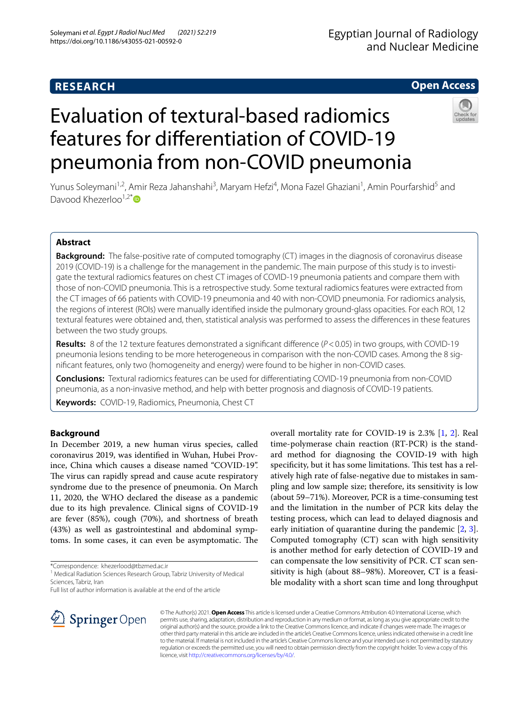# **RESEARCH**

# **Open Access**

# Evaluation of textural-based radiomics features for diferentiation of COVID-19 pneumonia from non-COVID pneumonia



Yunus Soleymani<sup>1,2</sup>, Amir Reza Jahanshahi<sup>3</sup>, Maryam Hefzi<sup>4</sup>, Mona Fazel Ghaziani<sup>1</sup>, Amin Pourfarshid<sup>5</sup> and Davood Khezerloo $1,2^*$  $1,2^*$ 

# **Abstract**

**Background:** The false-positive rate of computed tomography (CT) images in the diagnosis of coronavirus disease 2019 (COVID-19) is a challenge for the management in the pandemic. The main purpose of this study is to investigate the textural radiomics features on chest CT images of COVID-19 pneumonia patients and compare them with those of non-COVID pneumonia. This is a retrospective study. Some textural radiomics features were extracted from the CT images of 66 patients with COVID-19 pneumonia and 40 with non-COVID pneumonia. For radiomics analysis, the regions of interest (ROIs) were manually identifed inside the pulmonary ground-glass opacities. For each ROI, 12 textural features were obtained and, then, statistical analysis was performed to assess the diferences in these features between the two study groups.

**Results:** 8 of the 12 texture features demonstrated a signifcant diference (*P*<0.05) in two groups, with COVID-19 pneumonia lesions tending to be more heterogeneous in comparison with the non-COVID cases. Among the 8 signifcant features, only two (homogeneity and energy) were found to be higher in non-COVID cases.

**Conclusions:** Textural radiomics features can be used for diferentiating COVID-19 pneumonia from non-COVID pneumonia, as a non-invasive method, and help with better prognosis and diagnosis of COVID-19 patients.

**Keywords:** COVID-19, Radiomics, Pneumonia, Chest CT

## **Background**

In December 2019, a new human virus species, called coronavirus 2019, was identifed in Wuhan, Hubei Province, China which causes a disease named "COVID-19". The virus can rapidly spread and cause acute respiratory syndrome due to the presence of pneumonia. On March 11, 2020, the WHO declared the disease as a pandemic due to its high prevalence. Clinical signs of COVID-19 are fever (85%), cough (70%), and shortness of breath (43%) as well as gastrointestinal and abdominal symptoms. In some cases, it can even be asymptomatic. The

\*Correspondence: khezerlood@tbzmed.ac.ir

Full list of author information is available at the end of the article

overall mortality rate for COVID-19 is 2.3% [\[1](#page-5-0), [2\]](#page-5-1). Real time-polymerase chain reaction (RT-PCR) is the standard method for diagnosing the COVID-19 with high specificity, but it has some limitations. This test has a relatively high rate of false-negative due to mistakes in sampling and low sample size; therefore, its sensitivity is low (about 59–71%). Moreover, PCR is a time-consuming test and the limitation in the number of PCR kits delay the testing process, which can lead to delayed diagnosis and early initiation of quarantine during the pandemic [\[2](#page-5-1), [3](#page-6-0)]. Computed tomography (CT) scan with high sensitivity is another method for early detection of COVID-19 and can compensate the low sensitivity of PCR. CT scan sensitivity is high (about 88–98%). Moreover, CT is a feasible modality with a short scan time and long throughput



© The Author(s) 2021. **Open Access** This article is licensed under a Creative Commons Attribution 4.0 International License, which permits use, sharing, adaptation, distribution and reproduction in any medium or format, as long as you give appropriate credit to the original author(s) and the source, provide a link to the Creative Commons licence, and indicate if changes were made. The images or other third party material in this article are included in the article's Creative Commons licence, unless indicated otherwise in a credit line to the material. If material is not included in the article's Creative Commons licence and your intended use is not permitted by statutory regulation or exceeds the permitted use, you will need to obtain permission directly from the copyright holder. To view a copy of this licence, visit [http://creativecommons.org/licenses/by/4.0/.](http://creativecommons.org/licenses/by/4.0/)

<sup>&</sup>lt;sup>1</sup> Medical Radiation Sciences Research Group, Tabriz University of Medical Sciences, Tabriz, Iran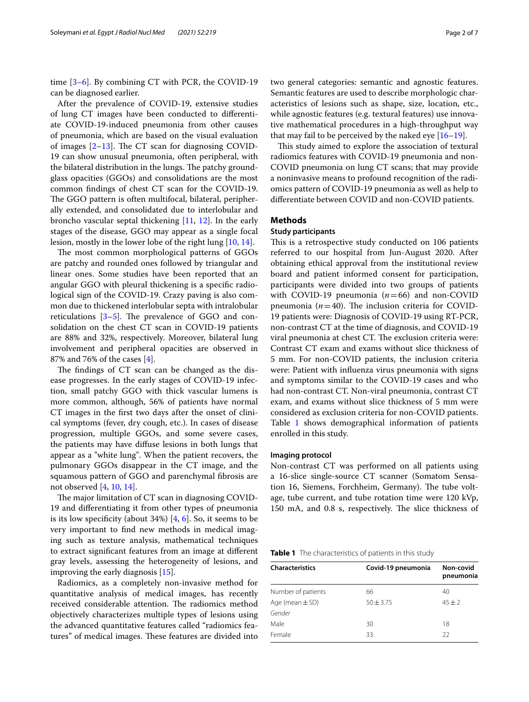time [[3–](#page-6-0)[6](#page-6-1)]. By combining CT with PCR, the COVID-19 can be diagnosed earlier.

After the prevalence of COVID-19, extensive studies of lung CT images have been conducted to diferentiate COVID-19-induced pneumonia from other causes of pneumonia, which are based on the visual evaluation of images  $[2-13]$  $[2-13]$  $[2-13]$ . The CT scan for diagnosing COVID-19 can show unusual pneumonia, often peripheral, with the bilateral distribution in the lungs. The patchy groundglass opacities (GGOs) and consolidations are the most common fndings of chest CT scan for the COVID-19. The GGO pattern is often multifocal, bilateral, peripherally extended, and consolidated due to interlobular and broncho vascular septal thickening [\[11](#page-6-3), [12\]](#page-6-4). In the early stages of the disease, GGO may appear as a single focal lesion, mostly in the lower lobe of the right lung [\[10,](#page-6-5) [14](#page-6-6)].

The most common morphological patterns of GGOs are patchy and rounded ones followed by triangular and linear ones. Some studies have been reported that an angular GGO with pleural thickening is a specifc radiological sign of the COVID-19. Crazy paving is also common due to thickened interlobular septa with intralobular reticulations  $[3-5]$  $[3-5]$ . The prevalence of GGO and consolidation on the chest CT scan in COVID-19 patients are 88% and 32%, respectively. Moreover, bilateral lung involvement and peripheral opacities are observed in 87% and 76% of the cases [[4\]](#page-6-8).

The findings of CT scan can be changed as the disease progresses. In the early stages of COVID-19 infection, small patchy GGO with thick vascular lumens is more common, although, 56% of patients have normal CT images in the frst two days after the onset of clinical symptoms (fever, dry cough, etc.). In cases of disease progression, multiple GGOs, and some severe cases, the patients may have difuse lesions in both lungs that appear as a "white lung". When the patient recovers, the pulmonary GGOs disappear in the CT image, and the squamous pattern of GGO and parenchymal fbrosis are not observed [[4](#page-6-8), [10,](#page-6-5) [14](#page-6-6)].

The major limitation of CT scan in diagnosing COVID-19 and diferentiating it from other types of pneumonia is its low specificity (about  $34\%$ ) [ $4, 6$ ]. So, it seems to be very important to fnd new methods in medical imaging such as texture analysis, mathematical techniques to extract signifcant features from an image at diferent gray levels, assessing the heterogeneity of lesions, and improving the early diagnosis [\[15](#page-6-9)].

Radiomics, as a completely non-invasive method for quantitative analysis of medical images, has recently received considerable attention. The radiomics method objectively characterizes multiple types of lesions using the advanced quantitative features called "radiomics features" of medical images. These features are divided into two general categories: semantic and agnostic features. Semantic features are used to describe morphologic characteristics of lesions such as shape, size, location, etc., while agnostic features (e.g. textural features) use innovative mathematical procedures in a high-throughput way that may fail to be perceived by the naked eye  $[16–19]$  $[16–19]$ .

This study aimed to explore the association of textural radiomics features with COVID-19 pneumonia and non-COVID pneumonia on lung CT scans; that may provide a noninvasive means to profound recognition of the radiomics pattern of COVID-19 pneumonia as well as help to diferentiate between COVID and non-COVID patients.

## **Methods**

## **Study participants**

This is a retrospective study conducted on 106 patients referred to our hospital from Jun-August 2020. After obtaining ethical approval from the institutional review board and patient informed consent for participation, participants were divided into two groups of patients with COVID-19 pneumonia (*n*=66) and non-COVID pneumonia  $(n=40)$ . The inclusion criteria for COVID-19 patients were: Diagnosis of COVID-19 using RT-PCR, non-contrast CT at the time of diagnosis, and COVID-19 viral pneumonia at chest CT. The exclusion criteria were: Contrast CT exam and exams without slice thickness of 5 mm. For non-COVID patients, the inclusion criteria were: Patient with infuenza virus pneumonia with signs and symptoms similar to the COVID-19 cases and who had non-contrast CT. Non-viral pneumonia, contrast CT exam, and exams without slice thickness of 5 mm were considered as exclusion criteria for non-COVID patients. Table [1](#page-1-0) shows demographical information of patients enrolled in this study.

#### **Imaging protocol**

Non-contrast CT was performed on all patients using a 16-slice single-source CT scanner (Somatom Sensation 16, Siemens, Forchheim, Germany). The tube voltage, tube current, and tube rotation time were 120 kVp, 150 mA, and 0.8 s, respectively. The slice thickness of

<span id="page-1-0"></span>

|  |  |  |  |  | Table 1 The characteristics of patients in this study |  |  |  |
|--|--|--|--|--|-------------------------------------------------------|--|--|--|
|--|--|--|--|--|-------------------------------------------------------|--|--|--|

| <b>Characteristics</b> | Covid-19 pneumonia | Non-covid<br>pneumonia |  |
|------------------------|--------------------|------------------------|--|
| Number of patients     | 66                 | 40                     |  |
| Age (mean $\pm$ SD)    | $50 + 3.75$        | $45 + 2$               |  |
| Gender                 |                    |                        |  |
| Male                   | 30                 | 18                     |  |
| Female                 | 33                 | 22                     |  |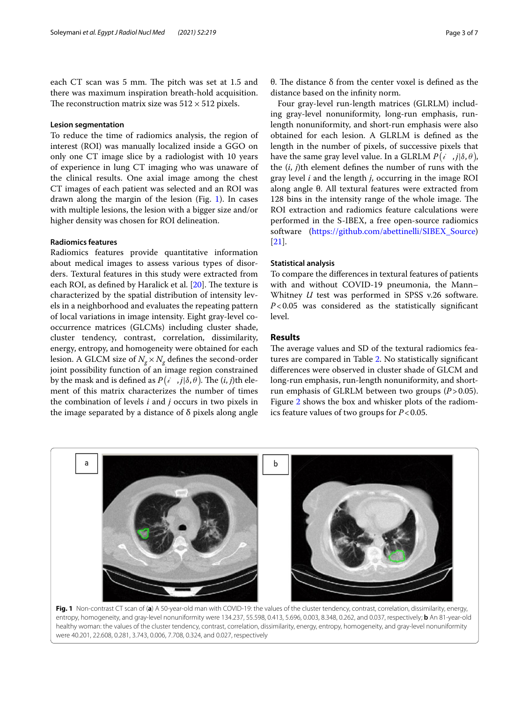each CT scan was 5 mm. The pitch was set at 1.5 and there was maximum inspiration breath-hold acquisition. The reconstruction matrix size was  $512 \times 512$  pixels.

## **Lesion segmentation**

To reduce the time of radiomics analysis, the region of interest (ROI) was manually localized inside a GGO on only one CT image slice by a radiologist with 10 years of experience in lung CT imaging who was unaware of the clinical results. One axial image among the chest CT images of each patient was selected and an ROI was drawn along the margin of the lesion (Fig. [1](#page-2-0)). In cases with multiple lesions, the lesion with a bigger size and/or higher density was chosen for ROI delineation.

## **Radiomics features**

Radiomics features provide quantitative information about medical images to assess various types of disorders. Textural features in this study were extracted from each ROI, as defined by Haralick et al.  $[20]$  $[20]$ . The texture is characterized by the spatial distribution of intensity levels in a neighborhood and evaluates the repeating pattern of local variations in image intensity. Eight gray-level cooccurrence matrices (GLCMs) including cluster shade, cluster tendency, contrast, correlation, dissimilarity, energy, entropy, and homogeneity were obtained for each lesion. A GLCM size of  $N_g \times N_g$  defines the second-order joint possibility function of an image region constrained by the mask and is defined as  $P\big(i^-,j|\delta,\theta\big)$ . The  $(i,j)$ th element of this matrix characterizes the number of times the combination of levels *i* and *j* occurs in two pixels in the image separated by a distance of  $\delta$  pixels along angle

θ. The distance  $δ$  from the center voxel is defined as the distance based on the infnity norm.

Four gray-level run-length matrices (GLRLM) including gray-level nonuniformity, long-run emphasis, runlength nonuniformity, and short-run emphasis were also obtained for each lesion. A GLRLM is defned as the length in the number of pixels, of successive pixels that have the same gray level value. In a GLRLM  $P(i, j | \delta, \theta)$ , the (*i*, *j*)th element defnes the number of runs with the gray level *i* and the length *j*, occurring in the image ROI along angle θ. All textural features were extracted from 128 bins in the intensity range of the whole image. The ROI extraction and radiomics feature calculations were performed in the S-IBEX, a free open-source radiomics software [\(https://github.com/abettinelli/SIBEX\\_Source](https://github.com/abettinelli/SIBEX_Source)) [[21\]](#page-6-13).

## **Statistical analysis**

To compare the diferences in textural features of patients with and without COVID-19 pneumonia, the Mann– Whitney *U* test was performed in SPSS v.26 software. *P*<0.05 was considered as the statistically signifcant level.

## **Results**

The average values and SD of the textural radiomics features are compared in Table [2.](#page-3-0) No statistically signifcant diferences were observed in cluster shade of GLCM and long-run emphasis, run-length nonuniformity, and shortrun emphasis of GLRLM between two groups (*P*>0.05). Figure [2](#page-4-0) shows the box and whisker plots of the radiomics feature values of two groups for *P*<0.05.



<span id="page-2-0"></span>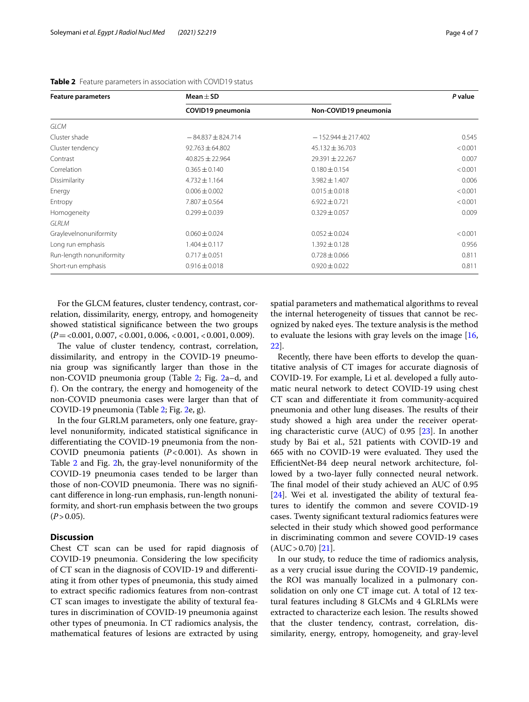| <b>Feature parameters</b> | Mean $\pm$ SD         | P value                |         |  |
|---------------------------|-----------------------|------------------------|---------|--|
|                           | COVID19 pneumonia     | Non-COVID19 pneumonia  |         |  |
| <b>GLCM</b>               |                       |                        |         |  |
| Cluster shade             | $-84.837 \pm 824.714$ | $-152.944 \pm 217.402$ | 0.545   |  |
| Cluster tendency          | $92.763 \pm 64.802$   | $45.132 \pm 36.703$    | < 0.001 |  |
| Contrast                  | $40.825 \pm 22.964$   | $29.391 \pm 22.267$    | 0.007   |  |
| Correlation               | $0.365 \pm 0.140$     | $0.180 \pm 0.154$      | < 0.001 |  |
| Dissimilarity             | $4.732 \pm 1.164$     | $3.982 \pm 1.407$      | 0.006   |  |
| Energy                    | $0.006 \pm 0.002$     | $0.015 \pm 0.018$      | < 0.001 |  |
| Entropy                   | $7.807 \pm 0.564$     | $6.922 \pm 0.721$      | < 0.001 |  |
| Homogeneity               | $0.299 \pm 0.039$     | $0.329 \pm 0.057$      | 0.009   |  |
| GLRLM                     |                       |                        |         |  |
| Graylevelnonuniformity    | $0.060 \pm 0.024$     | $0.052 \pm 0.024$      | < 0.001 |  |
| Long run emphasis         | $1.404 \pm 0.117$     | $1.392 \pm 0.128$      | 0.956   |  |
| Run-length nonuniformity  | $0.717 \pm 0.051$     | $0.728 \pm 0.066$      | 0.811   |  |
| Short-run emphasis        | $0.916 \pm 0.018$     | $0.920 \pm 0.022$      | 0.811   |  |

<span id="page-3-0"></span>

| Table 2 Feature parameters in association with COVID19 status |  |
|---------------------------------------------------------------|--|
|---------------------------------------------------------------|--|

For the GLCM features, cluster tendency, contrast, correlation, dissimilarity, energy, entropy, and homogeneity showed statistical signifcance between the two groups (*P*=<0.001, 0.007, <0.001, 0.006, <0.001, <0.001, 0.009).

The value of cluster tendency, contrast, correlation, dissimilarity, and entropy in the COVID-19 pneumonia group was signifcantly larger than those in the non-COVID pneumonia group (Table [2](#page-3-0); Fig. [2a](#page-4-0)–d, and f). On the contrary, the energy and homogeneity of the non-COVID pneumonia cases were larger than that of COVID-19 pneumonia (Table [2;](#page-3-0) Fig. [2e](#page-4-0), g).

In the four GLRLM parameters, only one feature, graylevel nonuniformity, indicated statistical signifcance in diferentiating the COVID-19 pneumonia from the non-COVID pneumonia patients (*P*<0.001). As shown in Table [2](#page-3-0) and Fig. [2](#page-4-0)h, the gray-level nonuniformity of the COVID-19 pneumonia cases tended to be larger than those of non-COVID pneumonia. There was no significant diference in long-run emphasis, run-length nonuniformity, and short-run emphasis between the two groups  $(P > 0.05)$ .

## **Discussion**

Chest CT scan can be used for rapid diagnosis of COVID-19 pneumonia. Considering the low specifcity of CT scan in the diagnosis of COVID-19 and diferentiating it from other types of pneumonia, this study aimed to extract specifc radiomics features from non-contrast CT scan images to investigate the ability of textural features in discrimination of COVID-19 pneumonia against other types of pneumonia. In CT radiomics analysis, the mathematical features of lesions are extracted by using

spatial parameters and mathematical algorithms to reveal the internal heterogeneity of tissues that cannot be recognized by naked eyes. The texture analysis is the method to evaluate the lesions with gray levels on the image [[16](#page-6-10), [22\]](#page-6-14).

Recently, there have been efforts to develop the quantitative analysis of CT images for accurate diagnosis of COVID-19. For example, Li et al. developed a fully automatic neural network to detect COVID-19 using chest CT scan and diferentiate it from community-acquired pneumonia and other lung diseases. The results of their study showed a high area under the receiver operating characteristic curve (AUC) of 0.95 [[23\]](#page-6-15). In another study by Bai et al., 521 patients with COVID-19 and 665 with no COVID-19 were evaluated. They used the EfficientNet-B4 deep neural network architecture, followed by a two-layer fully connected neural network. The final model of their study achieved an AUC of 0.95 [[24\]](#page-6-16). Wei et al. investigated the ability of textural features to identify the common and severe COVID-19 cases. Twenty signifcant textural radiomics features were selected in their study which showed good performance in discriminating common and severe COVID-19 cases  $(AUC > 0.70)$  [\[21\]](#page-6-13).

In our study, to reduce the time of radiomics analysis, as a very crucial issue during the COVID-19 pandemic, the ROI was manually localized in a pulmonary consolidation on only one CT image cut. A total of 12 textural features including 8 GLCMs and 4 GLRLMs were extracted to characterize each lesion. The results showed that the cluster tendency, contrast, correlation, dissimilarity, energy, entropy, homogeneity, and gray-level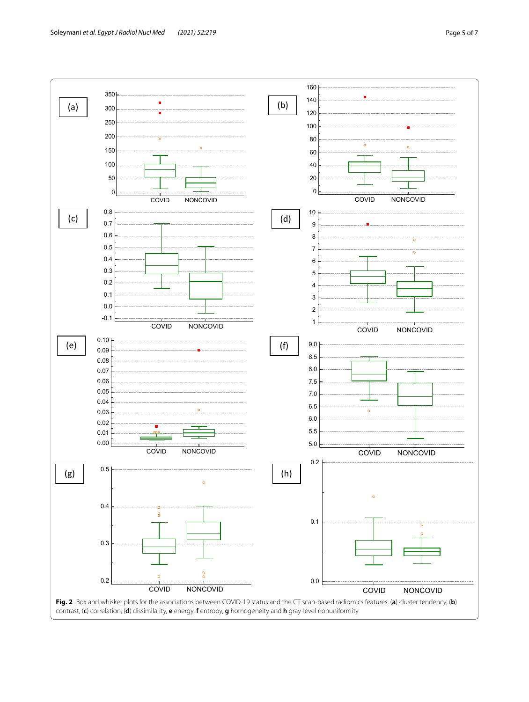<span id="page-4-0"></span>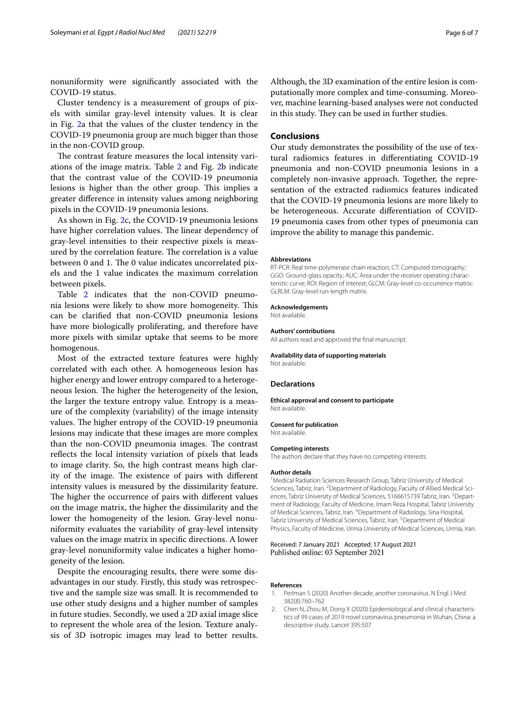nonuniformity were signifcantly associated with the COVID-19 status.

Cluster tendency is a measurement of groups of pixels with similar gray-level intensity values. It is clear in Fig. [2a](#page-4-0) that the values of the cluster tendency in the COVID-19 pneumonia group are much bigger than those in the non-COVID group.

The contrast feature measures the local intensity variations of the image matrix. Table [2](#page-3-0) and Fig. [2](#page-4-0)b indicate that the contrast value of the COVID-19 pneumonia lesions is higher than the other group. This implies a greater diference in intensity values among neighboring pixels in the COVID-19 pneumonia lesions.

As shown in Fig. [2c](#page-4-0), the COVID-19 pneumonia lesions have higher correlation values. The linear dependency of gray-level intensities to their respective pixels is measured by the correlation feature. The correlation is a value between 0 and 1. The 0 value indicates uncorrelated pixels and the 1 value indicates the maximum correlation between pixels.

Table [2](#page-3-0) indicates that the non-COVID pneumonia lesions were likely to show more homogeneity. This can be clarifed that non-COVID pneumonia lesions have more biologically proliferating, and therefore have more pixels with similar uptake that seems to be more homogenous.

Most of the extracted texture features were highly correlated with each other. A homogeneous lesion has higher energy and lower entropy compared to a heterogeneous lesion. The higher the heterogeneity of the lesion, the larger the texture entropy value. Entropy is a measure of the complexity (variability) of the image intensity values. The higher entropy of the COVID-19 pneumonia lesions may indicate that these images are more complex than the non-COVID pneumonia images. The contrast refects the local intensity variation of pixels that leads to image clarity. So, the high contrast means high clarity of the image. The existence of pairs with different intensity values is measured by the dissimilarity feature. The higher the occurrence of pairs with different values on the image matrix, the higher the dissimilarity and the lower the homogeneity of the lesion. Gray-level nonuniformity evaluates the variability of gray-level intensity values on the image matrix in specifc directions. A lower gray-level nonuniformity value indicates a higher homogeneity of the lesion.

Despite the encouraging results, there were some disadvantages in our study. Firstly, this study was retrospective and the sample size was small. It is recommended to use other study designs and a higher number of samples in future studies. Secondly, we used a 2D axial image slice to represent the whole area of the lesion. Texture analysis of 3D isotropic images may lead to better results.

Although, the 3D examination of the entire lesion is computationally more complex and time-consuming. Moreover, machine learning-based analyses were not conducted in this study. They can be used in further studies.

## **Conclusions**

Our study demonstrates the possibility of the use of textural radiomics features in diferentiating COVID-19 pneumonia and non-COVID pneumonia lesions in a completely non-invasive approach. Together, the representation of the extracted radiomics features indicated that the COVID-19 pneumonia lesions are more likely to be heterogeneous. Accurate diferentiation of COVID-19 pneumonia cases from other types of pneumonia can improve the ability to manage this pandemic.

#### **Abbreviations**

RT-PCR: Real time-polymerase chain reaction; CT: Computed tomography; GGO: Ground-glass opacity; AUC: Area under the receiver operating characteristic curve; ROI: Region of interest; GLCM: Gray-level co-occurrence matrix; GLRLM: Gray-level run-length matrix.

#### **Acknowledgements**

Not available.

#### **Authors' contributions**

All authors read and approved the fnal manuscript.

## **Availability data of supporting materials**

Not available.

#### **Declarations**

#### **Ethical approval and consent to participate** Not available.

**Consent for publication**

#### Not available.

#### **Competing interests**

The authors declare that they have no competing interests.

## **Author details**

<sup>1</sup> Medical Radiation Sciences Research Group, Tabriz University of Medical Sciences, Tabriz, Iran. <sup>2</sup> Department of Radiology, Faculty of Allied Medical Sciences, Tabriz University of Medical Sciences, 5166615739 Tabriz, Iran. <sup>3</sup>Department of Radiology, Faculty of Medicine, Imam Reza Hospital, Tabriz University of Medical Sciences, Tabriz, Iran. <sup>4</sup> Department of Radiology, Sina Hospital, Tabriz University of Medical Sciences, Tabriz, Iran. <sup>5</sup> Department of Medical Physics, Faculty of Medicine, Urmia University of Medical Sciences, Urmia, Iran.

#### Received: 7 January 2021 Accepted: 17 August 2021 Published online: 03 September 2021

## **References**

- <span id="page-5-0"></span>1. Perlman S (2020) Another decade, another coronavirus. N Engl J Med 382(8):760–762
- <span id="page-5-1"></span>2. Chen N, Zhou M, Dong X (2020) Epidemiological and clinical characteristics of 99 cases of 2019 novel coronavirus pneumonia in Wuhan, China: a descriptive study. Lancet 395:507